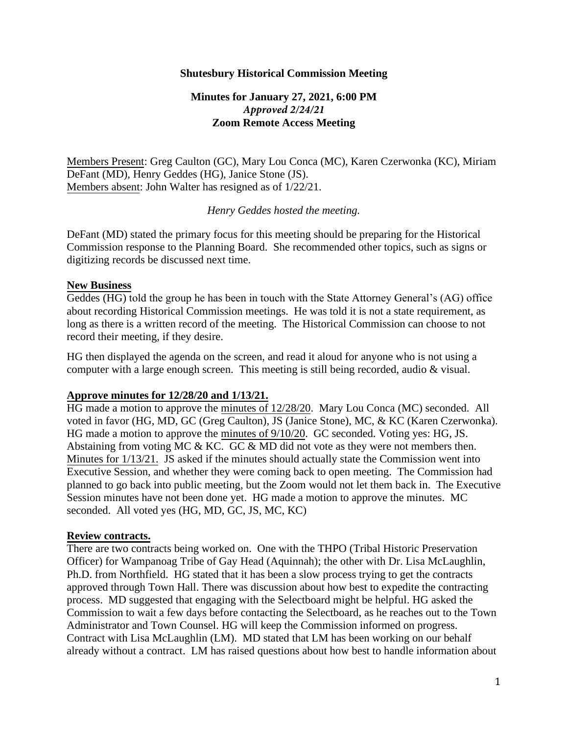## **Shutesbury Historical Commission Meeting**

# **Minutes for January 27, 2021, 6:00 PM**  *Approved 2/24/21* **Zoom Remote Access Meeting**

Members Present: Greg Caulton (GC), Mary Lou Conca (MC), Karen Czerwonka (KC), Miriam DeFant (MD), Henry Geddes (HG), Janice Stone (JS). Members absent: John Walter has resigned as of 1/22/21.

### *Henry Geddes hosted the meeting.*

DeFant (MD) stated the primary focus for this meeting should be preparing for the Historical Commission response to the Planning Board. She recommended other topics, such as signs or digitizing records be discussed next time.

#### **New Business**

Geddes (HG) told the group he has been in touch with the State Attorney General's (AG) office about recording Historical Commission meetings. He was told it is not a state requirement, as long as there is a written record of the meeting. The Historical Commission can choose to not record their meeting, if they desire.

HG then displayed the agenda on the screen, and read it aloud for anyone who is not using a computer with a large enough screen. This meeting is still being recorded, audio & visual.

## **Approve minutes for 12/28/20 and 1/13/21.**

HG made a motion to approve the minutes of 12/28/20. Mary Lou Conca (MC) seconded. All voted in favor (HG, MD, GC (Greg Caulton), JS (Janice Stone), MC, & KC (Karen Czerwonka). HG made a motion to approve the minutes of 9/10/20. GC seconded. Voting yes: HG, JS. Abstaining from voting MC & KC. GC & MD did not vote as they were not members then. Minutes for 1/13/21. JS asked if the minutes should actually state the Commission went into Executive Session, and whether they were coming back to open meeting. The Commission had planned to go back into public meeting, but the Zoom would not let them back in. The Executive Session minutes have not been done yet. HG made a motion to approve the minutes. MC seconded. All voted yes (HG, MD, GC, JS, MC, KC)

## **Review contracts.**

There are two contracts being worked on. One with the THPO (Tribal Historic Preservation Officer) for Wampanoag Tribe of Gay Head (Aquinnah); the other with Dr. Lisa McLaughlin, Ph.D. from Northfield. HG stated that it has been a slow process trying to get the contracts approved through Town Hall. There was discussion about how best to expedite the contracting process. MD suggested that engaging with the Selectboard might be helpful. HG asked the Commission to wait a few days before contacting the Selectboard, as he reaches out to the Town Administrator and Town Counsel. HG will keep the Commission informed on progress. Contract with Lisa McLaughlin (LM). MD stated that LM has been working on our behalf already without a contract. LM has raised questions about how best to handle information about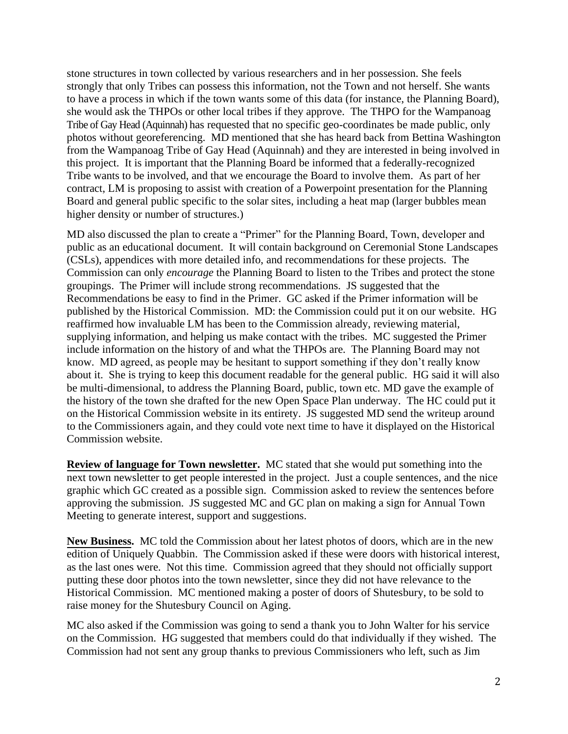stone structures in town collected by various researchers and in her possession. She feels strongly that only Tribes can possess this information, not the Town and not herself. She wants to have a process in which if the town wants some of this data (for instance, the Planning Board), she would ask the THPOs or other local tribes if they approve. The THPO for the Wampanoag Tribe of Gay Head (Aquinnah) has requested that no specific geo-coordinates be made public, only photos without georeferencing. MD mentioned that she has heard back from Bettina Washington from the Wampanoag Tribe of Gay Head (Aquinnah) and they are interested in being involved in this project. It is important that the Planning Board be informed that a federally-recognized Tribe wants to be involved, and that we encourage the Board to involve them. As part of her contract, LM is proposing to assist with creation of a Powerpoint presentation for the Planning Board and general public specific to the solar sites, including a heat map (larger bubbles mean higher density or number of structures.)

MD also discussed the plan to create a "Primer" for the Planning Board, Town, developer and public as an educational document. It will contain background on Ceremonial Stone Landscapes (CSLs), appendices with more detailed info, and recommendations for these projects. The Commission can only *encourage* the Planning Board to listen to the Tribes and protect the stone groupings. The Primer will include strong recommendations. JS suggested that the Recommendations be easy to find in the Primer. GC asked if the Primer information will be published by the Historical Commission. MD: the Commission could put it on our website. HG reaffirmed how invaluable LM has been to the Commission already, reviewing material, supplying information, and helping us make contact with the tribes. MC suggested the Primer include information on the history of and what the THPOs are. The Planning Board may not know. MD agreed, as people may be hesitant to support something if they don't really know about it. She is trying to keep this document readable for the general public. HG said it will also be multi-dimensional, to address the Planning Board, public, town etc. MD gave the example of the history of the town she drafted for the new Open Space Plan underway. The HC could put it on the Historical Commission website in its entirety. JS suggested MD send the writeup around to the Commissioners again, and they could vote next time to have it displayed on the Historical Commission website.

**Review of language for Town newsletter.** MC stated that she would put something into the next town newsletter to get people interested in the project. Just a couple sentences, and the nice graphic which GC created as a possible sign. Commission asked to review the sentences before approving the submission. JS suggested MC and GC plan on making a sign for Annual Town Meeting to generate interest, support and suggestions.

**New Business.** MC told the Commission about her latest photos of doors, which are in the new edition of Uniquely Quabbin. The Commission asked if these were doors with historical interest, as the last ones were. Not this time. Commission agreed that they should not officially support putting these door photos into the town newsletter, since they did not have relevance to the Historical Commission. MC mentioned making a poster of doors of Shutesbury, to be sold to raise money for the Shutesbury Council on Aging.

MC also asked if the Commission was going to send a thank you to John Walter for his service on the Commission. HG suggested that members could do that individually if they wished. The Commission had not sent any group thanks to previous Commissioners who left, such as Jim